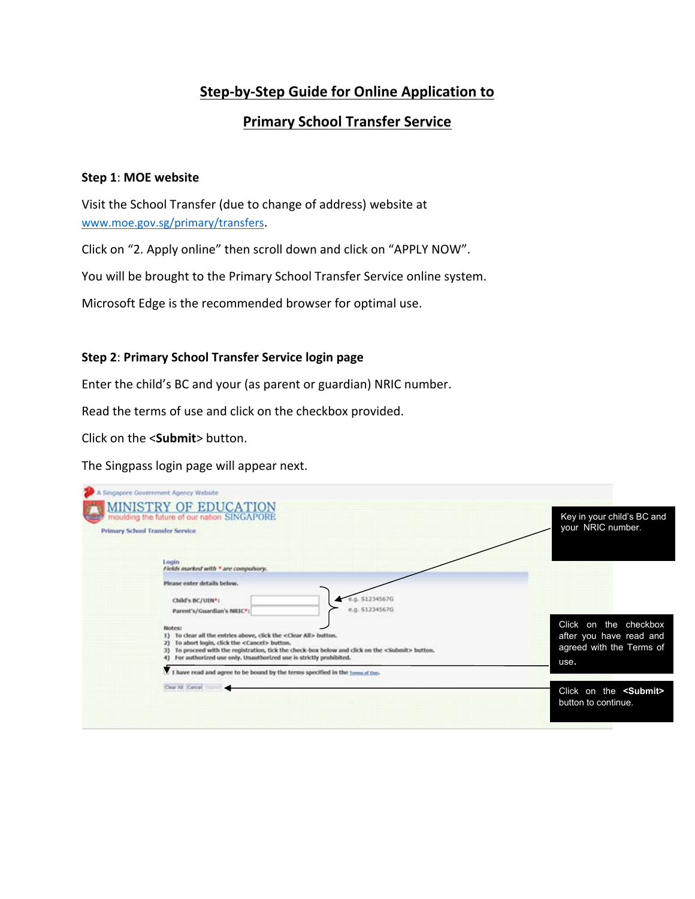# **Step‐by‐Step Guide for Online Application to**

## **Primary School Transfer Service**

#### **Step 1**: **MOE website**

Visit the School Transfer (due to change of address) website at www.moe.gov.sg/primary/transfers.

Click on "2. Apply online" then scroll down and click on "APPLY NOW".

You will be brought to the Primary School Transfer Service online system.

Microsoft Edge is the recommended browser for optimal use.

#### **Step 2**: **Primary School Transfer Service login page**

Enter the child's BC and your (as parent or guardian) NRIC number.

Read the terms of use and click on the checkbox provided.

Click on the <**Submit**> button.

The Singpass login page will appear next.

| A Singapore Government Agency Website<br><b>MINISTRY OF EDUCATION</b><br>moulding the future of our nation SINGAPORE<br><b>Primary School Transfer Service</b>                                                                                                                                                                                                                                                                                                                                                                                                                                                                         | Key in your child's BC and<br>your NRIC number.                                                                                                |
|----------------------------------------------------------------------------------------------------------------------------------------------------------------------------------------------------------------------------------------------------------------------------------------------------------------------------------------------------------------------------------------------------------------------------------------------------------------------------------------------------------------------------------------------------------------------------------------------------------------------------------------|------------------------------------------------------------------------------------------------------------------------------------------------|
| Login<br>Fields marked with * are compulsory.<br>Please enter details below.<br>g. 51234567G<br>Child's BC/UIN*:<br>e.g. \$1234567G<br>Parent's/Guardian's NRIC*:<br>Notes:<br>1) To clear all the entries above, click the <clear all=""> button.<br/>To abort login, click the <cancel> button.<br/>To proceed with the registration, tick the check-box below and click on the <submit> button.<br/>For authorized use only. Unauthorized use is strictly prohibited.<br/><math>\Box</math> I have read and agree to be bound by the terms specified in the <math>1</math> mm at the<br/>Clear All Cancel</submit></cancel></clear> | Click on the checkbox<br>after you have read and<br>agreed with the Terms of<br>use.<br>Click on the <submit><br/>button to continue.</submit> |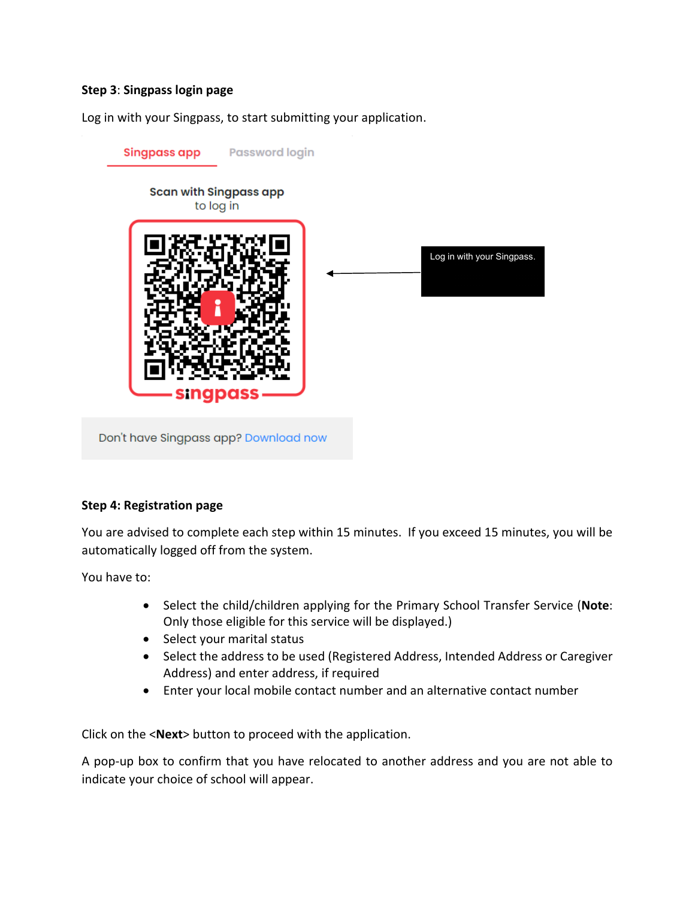### **Step 3**: **Singpass login page**

Log in with your Singpass, to start submitting your application.



### **Step 4: Registration page**

You are advised to complete each step within 15 minutes. If you exceed 15 minutes, you will be automatically logged off from the system.

You have to:

- Select the child/children applying for the Primary School Transfer Service (**Note**: Only those eligible for this service will be displayed.)
- Select your marital status
- Select the address to be used (Registered Address, Intended Address or Caregiver Address) and enter address, if required
- Enter your local mobile contact number and an alternative contact number

Click on the <**Next**> button to proceed with the application.

A pop‐up box to confirm that you have relocated to another address and you are not able to indicate your choice of school will appear.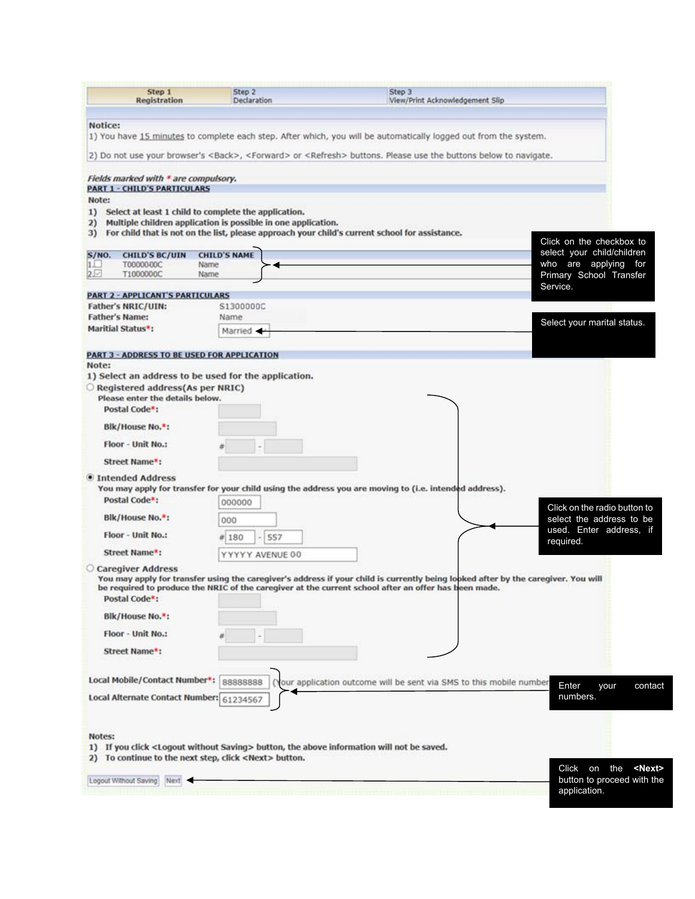| Step 1<br>Registration                                                                                                                          | Step <sub>2</sub><br>Declaration | Step 3<br>View/Print Acknowledgement Slip                                                                                                 |
|-------------------------------------------------------------------------------------------------------------------------------------------------|----------------------------------|-------------------------------------------------------------------------------------------------------------------------------------------|
|                                                                                                                                                 |                                  |                                                                                                                                           |
| Notice:                                                                                                                                         |                                  | 1) You have 15 minutes to complete each step. After which, you will be automatically logged out from the system.                          |
|                                                                                                                                                 |                                  | 2) Do not use your browser's <back>, <forward> or <refresh> buttons. Please use the buttons below to navigate.</refresh></forward></back> |
| Fields marked with * are compulsory.<br><b>PART 1 - CHILD'S PARTICULARS</b><br>Note:<br>1) Select at least 1 child to complete the application. |                                  |                                                                                                                                           |
| Multiple children application is possible in one application.<br>2)                                                                             |                                  | 3) For child that is not on the list, please approach your child's current school for assistance.<br>Click on the checkbox to             |
| S/NO.<br><b>CHILD'S BC/UIN</b>                                                                                                                  | <b>CHILD'S NAME</b>              | select your child/children                                                                                                                |
| 11<br>T0000000C<br>$2 -$<br>T1000000C                                                                                                           | Name<br>Name                     | who are applying for<br>Primary School Transfer                                                                                           |
|                                                                                                                                                 |                                  | Service.                                                                                                                                  |
| <b>PART 2 - APPLICANT'S PARTICULARS</b>                                                                                                         |                                  |                                                                                                                                           |
| Father's NRIC/UIN:                                                                                                                              | S1300000C                        |                                                                                                                                           |
| <b>Father's Name:</b><br>Maritial Status*:                                                                                                      | Name                             | Select your marital status.                                                                                                               |
|                                                                                                                                                 | Married -                        |                                                                                                                                           |
| <b>PART 3 - ADDRESS TO BE USED FOR APPLICATION</b>                                                                                              |                                  |                                                                                                                                           |
| Note:                                                                                                                                           |                                  |                                                                                                                                           |
| 1) Select an address to be used for the application.<br>Registered address(As per NRIC)                                                         |                                  |                                                                                                                                           |
| Please enter the details below.                                                                                                                 |                                  |                                                                                                                                           |
| Postal Code":                                                                                                                                   |                                  |                                                                                                                                           |
| Blk/House No.":                                                                                                                                 |                                  |                                                                                                                                           |
|                                                                                                                                                 |                                  |                                                                                                                                           |
| Floor - Unit No.:                                                                                                                               |                                  |                                                                                                                                           |
| Street Name*:                                                                                                                                   |                                  |                                                                                                                                           |
| <b>• Intended Address</b>                                                                                                                       |                                  |                                                                                                                                           |
|                                                                                                                                                 |                                  | You may apply for transfer for your child using the address you are moving to (i.e. intended address).                                    |
| Postal Code <sup>*</sup> :                                                                                                                      | 000000                           | Click on the radio button to                                                                                                              |
| Blk/House No.*:                                                                                                                                 | 000                              | select the address to be                                                                                                                  |
| Floor - Unit No.:                                                                                                                               | # 180                            | used. Enter address, if<br>557<br>required.                                                                                               |
| Street Name*:                                                                                                                                   | YYYYY AVENUE 00                  |                                                                                                                                           |
| <b>Caregiver Address</b>                                                                                                                        |                                  | You may apply for transfer using the caregiver's address if your child is currently being looked after by the caregiver. You will         |
| Postal Code":                                                                                                                                   |                                  | be required to produce the NRIC of the caregiver at the current school after an offer has been made.                                      |
| Blk/House No. <sup>*</sup> :                                                                                                                    |                                  |                                                                                                                                           |
| <b>Floor - Unit No.:</b>                                                                                                                        |                                  |                                                                                                                                           |
| Street Name*:                                                                                                                                   |                                  |                                                                                                                                           |
| Local Mobile/Contact Number*:                                                                                                                   |                                  |                                                                                                                                           |
|                                                                                                                                                 | 88888888                         | (Your application outcome will be sent via SMS to this mobile number<br>Enter<br>your<br>contact                                          |
| Local Alternate Contact Number: 61234567                                                                                                        |                                  | numbers.                                                                                                                                  |
| Notes:                                                                                                                                          |                                  |                                                                                                                                           |
|                                                                                                                                                 |                                  | 1) If you click <logout saving="" without=""> button, the above information will not be saved.</logout>                                   |
| 2) To continue to the next step, click <next> button.</next>                                                                                    |                                  |                                                                                                                                           |
|                                                                                                                                                 |                                  |                                                                                                                                           |
| Logout Without Saving<br>Next -                                                                                                                 |                                  | Click on the<br><next><br/>button to proceed with the</next>                                                                              |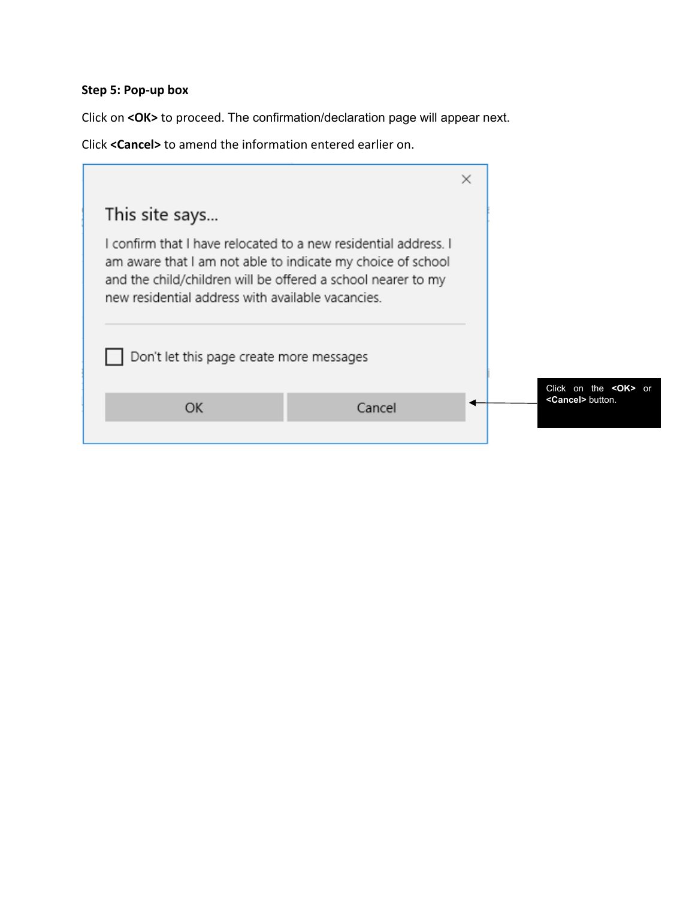## **Step 5: Pop‐up box**

Click on **<OK>** to proceed. The confirmation/declaration page will appear next.

Click **<Cancel>** to amend the information entered earlier on.

|                                                                                                                                                                                                                                                                                                 |        | × |                                                         |
|-------------------------------------------------------------------------------------------------------------------------------------------------------------------------------------------------------------------------------------------------------------------------------------------------|--------|---|---------------------------------------------------------|
| This site says                                                                                                                                                                                                                                                                                  |        |   |                                                         |
| I confirm that I have relocated to a new residential address. I<br>am aware that I am not able to indicate my choice of school<br>and the child/children will be offered a school nearer to my<br>new residential address with available vacancies.<br>Don't let this page create more messages |        |   |                                                         |
| OK                                                                                                                                                                                                                                                                                              | Cancel |   | Click on the <ok> or<br/><cancel> button.</cancel></ok> |
|                                                                                                                                                                                                                                                                                                 |        |   |                                                         |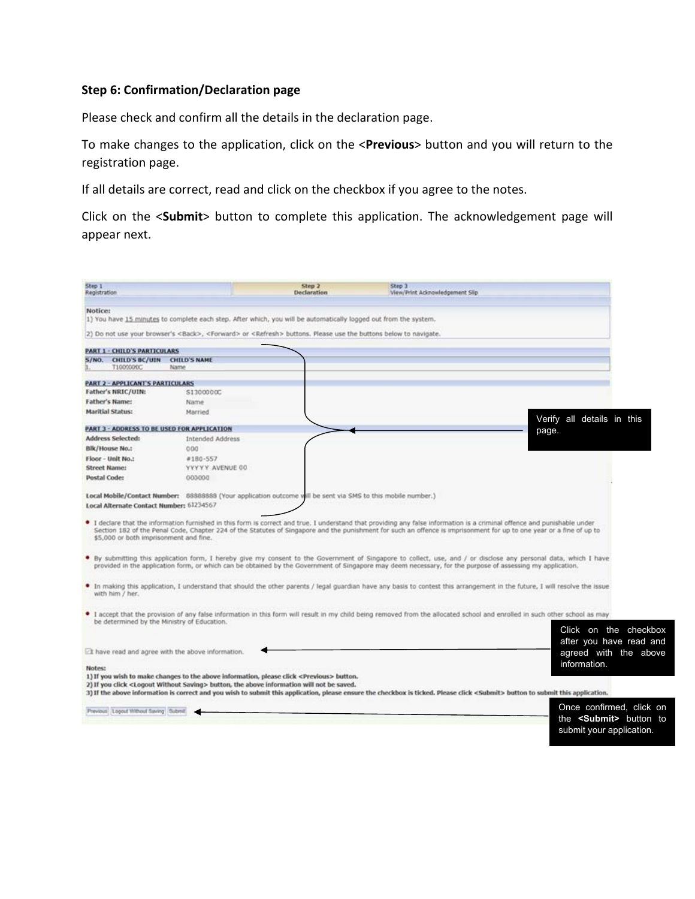### **Step 6: Confirmation/Declaration page**

Please check and confirm all the details in the declaration page.

To make changes to the application, click on the <**Previous**> button and you will return to the registration page.

If all details are correct, read and click on the checkbox if you agree to the notes.

Click on the <**Submit**> button to complete this application. The acknowledgement page will appear next.

| Step 1<br>Registration                             |                                                                                                                                                                                                                                                               | Step 2<br>Declaration | Step 3<br>View/Print Acknowledgement Slip                                                                                                                                                                                                                                                                                                        |                                                  |
|----------------------------------------------------|---------------------------------------------------------------------------------------------------------------------------------------------------------------------------------------------------------------------------------------------------------------|-----------------------|--------------------------------------------------------------------------------------------------------------------------------------------------------------------------------------------------------------------------------------------------------------------------------------------------------------------------------------------------|--------------------------------------------------|
| Notice:                                            |                                                                                                                                                                                                                                                               |                       |                                                                                                                                                                                                                                                                                                                                                  |                                                  |
|                                                    | 1) You have 15 minutes to complete each step. After which, you will be automatically logged out from the system.<br>2) Do not use your browser's <back>, <forward> or <refresh> buttons. Please use the buttons below to navigate.</refresh></forward></back> |                       |                                                                                                                                                                                                                                                                                                                                                  |                                                  |
|                                                    |                                                                                                                                                                                                                                                               |                       |                                                                                                                                                                                                                                                                                                                                                  |                                                  |
| <b>PART 1 - CHILD'S PARTICULARS</b>                |                                                                                                                                                                                                                                                               |                       |                                                                                                                                                                                                                                                                                                                                                  |                                                  |
| CHILD'S BC/UIN CHILD'S NAME<br>S/NO.<br>T1000000C  | Name                                                                                                                                                                                                                                                          |                       |                                                                                                                                                                                                                                                                                                                                                  |                                                  |
| <b>PART 2 - APPLICANT'S PARTICULARS</b>            |                                                                                                                                                                                                                                                               |                       |                                                                                                                                                                                                                                                                                                                                                  |                                                  |
| Father's NRIC/UIN:                                 | \$1300000C                                                                                                                                                                                                                                                    |                       |                                                                                                                                                                                                                                                                                                                                                  |                                                  |
| <b>Father's Name:</b>                              | Name                                                                                                                                                                                                                                                          |                       |                                                                                                                                                                                                                                                                                                                                                  |                                                  |
| <b>Maritial Status:</b>                            | Married                                                                                                                                                                                                                                                       |                       |                                                                                                                                                                                                                                                                                                                                                  | Verify all details in this                       |
| PART 3 - ADDRESS TO BE USED FOR APPLICATION        |                                                                                                                                                                                                                                                               |                       |                                                                                                                                                                                                                                                                                                                                                  | page.                                            |
| <b>Address Selected:</b>                           | <b>Intended Address</b>                                                                                                                                                                                                                                       |                       |                                                                                                                                                                                                                                                                                                                                                  |                                                  |
| <b>Blk/House No.:</b>                              | 0.00                                                                                                                                                                                                                                                          |                       |                                                                                                                                                                                                                                                                                                                                                  |                                                  |
| Floor - Unit No.:                                  | #180-557                                                                                                                                                                                                                                                      |                       |                                                                                                                                                                                                                                                                                                                                                  |                                                  |
| <b>Street Name:</b>                                | YYYYY AVENUE 00                                                                                                                                                                                                                                               |                       |                                                                                                                                                                                                                                                                                                                                                  |                                                  |
| Postal Code:                                       | 000000                                                                                                                                                                                                                                                        |                       |                                                                                                                                                                                                                                                                                                                                                  |                                                  |
|                                                    | Local Mobile/Contact Number: 88888888 (Your application outcome will be sent via SMS to this mobile number.)                                                                                                                                                  |                       |                                                                                                                                                                                                                                                                                                                                                  |                                                  |
| Local Alternate Contact Number: 61234567           |                                                                                                                                                                                                                                                               |                       |                                                                                                                                                                                                                                                                                                                                                  |                                                  |
| \$5,000 or both imprisonment and fine.             |                                                                                                                                                                                                                                                               |                       | If declare that the information furnished in this form is correct and true. I understand that providing any false information is a criminal offence and punishable under<br>Section 182 of the Penal Code, Chapter 224 of the Statutes of Singapore and the punishment for such an offence is imprisonment for up to one year or a fine of up to |                                                  |
|                                                    |                                                                                                                                                                                                                                                               |                       | . By submitting this application form, I hereby give my consent to the Government of Singapore to collect, use, and / or disclose any personal data, which I have<br>provided in the application form, or which can be obtained by the Government of Singapore may deem necessary, for the purpose of assessing my application.                  |                                                  |
| with him / her.                                    |                                                                                                                                                                                                                                                               |                       | In making this application, I understand that should the other parents / legal guardian have any basis to contest this arrangement in the future, I will resolve the issue                                                                                                                                                                       |                                                  |
|                                                    |                                                                                                                                                                                                                                                               |                       | I accept that the provision of any false information in this form will result in my child being removed from the allocated school and enrolled in such other school as may                                                                                                                                                                       |                                                  |
| be determined by the Ministry of Education.        |                                                                                                                                                                                                                                                               |                       |                                                                                                                                                                                                                                                                                                                                                  | Click on the checkbox<br>after you have read and |
| EI have read and agree with the above information. |                                                                                                                                                                                                                                                               |                       |                                                                                                                                                                                                                                                                                                                                                  | agreed with the above                            |
| Notes:                                             | 1) If you wish to make changes to the above information, please click <previous> button.</previous>                                                                                                                                                           |                       |                                                                                                                                                                                                                                                                                                                                                  | information.                                     |
|                                                    | 2) If you click <logout saving="" without=""> button, the above information will not be saved.</logout>                                                                                                                                                       |                       | 3) If the above information is correct and you wish to submit this application, please ensure the checkbox is ticked. Please click <submit> button to submit this application.</submit>                                                                                                                                                          |                                                  |
|                                                    |                                                                                                                                                                                                                                                               |                       |                                                                                                                                                                                                                                                                                                                                                  |                                                  |
| Previous: Logout Without Saving Submit.            |                                                                                                                                                                                                                                                               |                       |                                                                                                                                                                                                                                                                                                                                                  | Once confirmed, click on                         |
|                                                    |                                                                                                                                                                                                                                                               |                       |                                                                                                                                                                                                                                                                                                                                                  | the <submit> button to</submit>                  |
|                                                    |                                                                                                                                                                                                                                                               |                       |                                                                                                                                                                                                                                                                                                                                                  | submit your application.                         |
|                                                    |                                                                                                                                                                                                                                                               |                       |                                                                                                                                                                                                                                                                                                                                                  |                                                  |